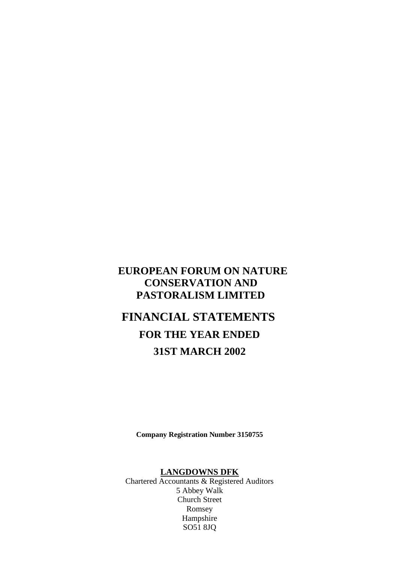# **EUROPEAN FORUM ON NATURE CONSERVATION AND PASTORALISM LIMITED**

# **FINANCIAL STATEMENTS FOR THE YEAR ENDED 31ST MARCH 2002**

**Company Registration Number 3150755**

## **LANGDOWNS DFK**

Chartered Accountants & Registered Auditors 5 Abbey Walk Church Street Romsey Hampshire SO51 8JQ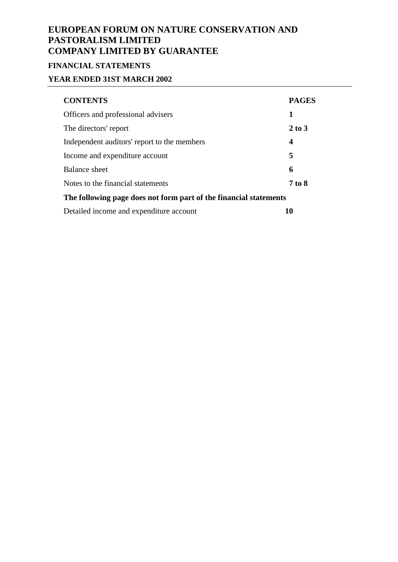# **FINANCIAL STATEMENTS**

# **YEAR ENDED 31ST MARCH 2002**

| <b>CONTENTS</b>                                                   | <b>PAGES</b>     |  |  |
|-------------------------------------------------------------------|------------------|--|--|
| Officers and professional advisers                                | 1                |  |  |
| The directors' report                                             | $2$ to $3$       |  |  |
| Independent auditors' report to the members                       | $\boldsymbol{4}$ |  |  |
| Income and expenditure account                                    | 5                |  |  |
| <b>Balance sheet</b>                                              | 6                |  |  |
| Notes to the financial statements                                 | 7 to 8           |  |  |
| The following page does not form part of the financial statements |                  |  |  |
| Detailed income and expenditure account                           | 10               |  |  |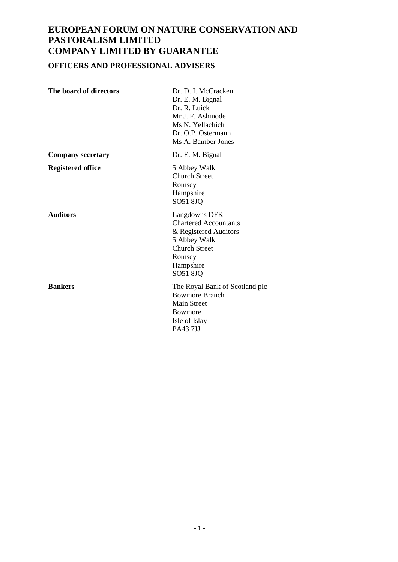# **OFFICERS AND PROFESSIONAL ADVISERS**

| The board of directors   | Dr. D. I. McCracken<br>Dr. E. M. Bignal<br>Dr. R. Luick<br>Mr J. F. Ashmode<br>Ms N. Yellachich<br>Dr. O.P. Ostermann<br>Ms A. Bamber Jones       |
|--------------------------|---------------------------------------------------------------------------------------------------------------------------------------------------|
| <b>Company secretary</b> | Dr. E. M. Bignal                                                                                                                                  |
| <b>Registered office</b> | 5 Abbey Walk<br><b>Church Street</b><br>Romsey<br>Hampshire<br>SO51 8JQ                                                                           |
| <b>Auditors</b>          | Langdowns DFK<br><b>Chartered Accountants</b><br>& Registered Auditors<br>5 Abbey Walk<br><b>Church Street</b><br>Romsey<br>Hampshire<br>SO51 8JQ |
| <b>Bankers</b>           | The Royal Bank of Scotland plc<br><b>Bowmore Branch</b><br><b>Main Street</b><br><b>Bowmore</b><br>Isle of Islay<br><b>PA437JJ</b>                |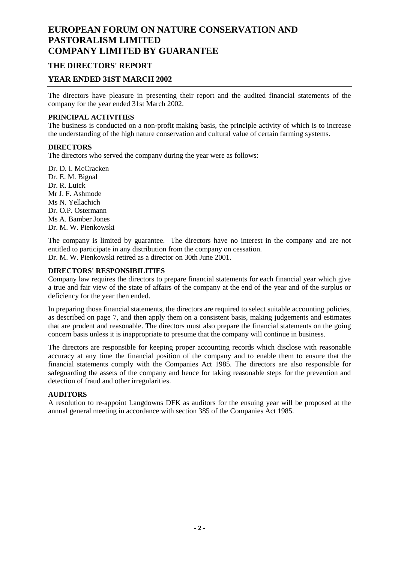### **THE DIRECTORS' REPORT**

### **YEAR ENDED 31ST MARCH 2002**

The directors have pleasure in presenting their report and the audited financial statements of the company for the year ended 31st March 2002.

#### **PRINCIPAL ACTIVITIES**

The business is conducted on a non-profit making basis, the principle activity of which is to increase the understanding of the high nature conservation and cultural value of certain farming systems.

#### **DIRECTORS**

The directors who served the company during the year were as follows:

Dr. D. I. McCracken Dr. E. M. Bignal Dr. R. Luick Mr J. F. Ashmode Ms N. Yellachich Dr. O.P. Ostermann Ms A. Bamber Jones Dr. M. W. Pienkowski

The company is limited by guarantee. The directors have no interest in the company and are not entitled to participate in any distribution from the company on cessation.

Dr. M. W. Pienkowski retired as a director on 30th June 2001.

#### **DIRECTORS' RESPONSIBILITIES**

Company law requires the directors to prepare financial statements for each financial year which give a true and fair view of the state of affairs of the company at the end of the year and of the surplus or deficiency for the year then ended.

In preparing those financial statements, the directors are required to select suitable accounting policies, as described on page 7, and then apply them on a consistent basis, making judgements and estimates that are prudent and reasonable. The directors must also prepare the financial statements on the going concern basis unless it is inappropriate to presume that the company will continue in business.

The directors are responsible for keeping proper accounting records which disclose with reasonable accuracy at any time the financial position of the company and to enable them to ensure that the financial statements comply with the Companies Act 1985. The directors are also responsible for safeguarding the assets of the company and hence for taking reasonable steps for the prevention and detection of fraud and other irregularities.

#### **AUDITORS**

A resolution to re-appoint Langdowns DFK as auditors for the ensuing year will be proposed at the annual general meeting in accordance with section 385 of the Companies Act 1985.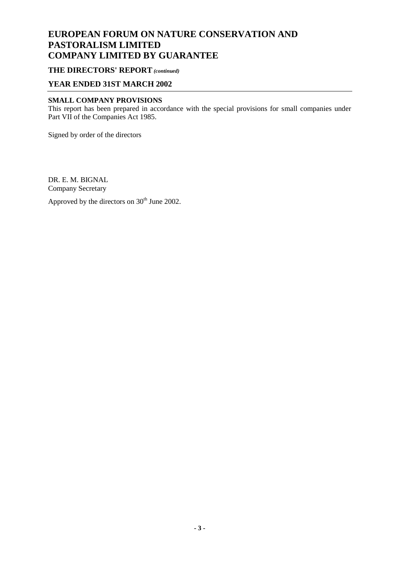### **THE DIRECTORS' REPORT** *(continued)*

### **YEAR ENDED 31ST MARCH 2002**

### **SMALL COMPANY PROVISIONS**

This report has been prepared in accordance with the special provisions for small companies under Part VII of the Companies Act 1985.

Signed by order of the directors

DR. E. M. BIGNAL Company Secretary

Approved by the directors on  $30<sup>th</sup>$  June 2002.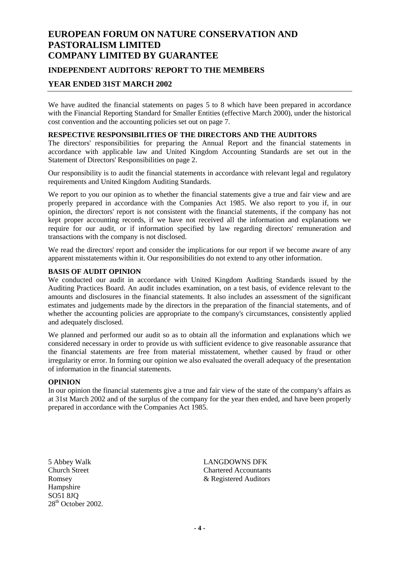# **EUROPEAN FORUM ON NATURE CONSERVATION AND PASTORALISM LIMITED COMPANY LIMITED BY GUARANTEE INDEPENDENT AUDITORS' REPORT TO THE MEMBERS**

## **YEAR ENDED 31ST MARCH 2002**

We have audited the financial statements on pages 5 to 8 which have been prepared in accordance with the Financial Reporting Standard for Smaller Entities (effective March 2000), under the historical cost convention and the accounting policies set out on page 7.

### **RESPECTIVE RESPONSIBILITIES OF THE DIRECTORS AND THE AUDITORS**

The directors' responsibilities for preparing the Annual Report and the financial statements in accordance with applicable law and United Kingdom Accounting Standards are set out in the Statement of Directors' Responsibilities on page 2.

Our responsibility is to audit the financial statements in accordance with relevant legal and regulatory requirements and United Kingdom Auditing Standards.

We report to you our opinion as to whether the financial statements give a true and fair view and are properly prepared in accordance with the Companies Act 1985. We also report to you if, in our opinion, the directors' report is not consistent with the financial statements, if the company has not kept proper accounting records, if we have not received all the information and explanations we require for our audit, or if information specified by law regarding directors' remuneration and transactions with the company is not disclosed.

We read the directors' report and consider the implications for our report if we become aware of any apparent misstatements within it. Our responsibilities do not extend to any other information.

### **BASIS OF AUDIT OPINION**

We conducted our audit in accordance with United Kingdom Auditing Standards issued by the Auditing Practices Board. An audit includes examination, on a test basis, of evidence relevant to the amounts and disclosures in the financial statements. It also includes an assessment of the significant estimates and judgements made by the directors in the preparation of the financial statements, and of whether the accounting policies are appropriate to the company's circumstances, consistently applied and adequately disclosed.

We planned and performed our audit so as to obtain all the information and explanations which we considered necessary in order to provide us with sufficient evidence to give reasonable assurance that the financial statements are free from material misstatement, whether caused by fraud or other irregularity or error. In forming our opinion we also evaluated the overall adequacy of the presentation of information in the financial statements.

#### **OPINION**

In our opinion the financial statements give a true and fair view of the state of the company's affairs as at 31st March 2002 and of the surplus of the company for the year then ended, and have been properly prepared in accordance with the Companies Act 1985.

Hampshire  $SOS1$   $SJO$ 28<sup>th</sup> October 2002.

5 Abbey Walk LANGDOWNS DFK Church Street Chartered Accountants Romsey **and School School Auditors** & Registered Auditors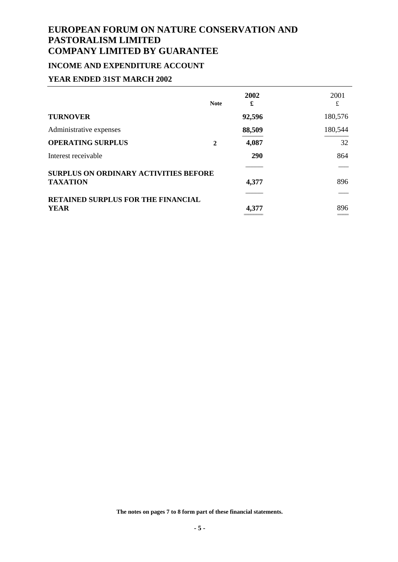# **INCOME AND EXPENDITURE ACCOUNT**

### **YEAR ENDED 31ST MARCH 2002**

|                                              | <b>Note</b> | 2002<br>£  | 2001<br>£    |
|----------------------------------------------|-------------|------------|--------------|
| <b>TURNOVER</b>                              |             | 92,596     | 180,576      |
| Administrative expenses                      |             | 88,509     | 180,544      |
| <b>OPERATING SURPLUS</b>                     | 2           | 4,087      | 32           |
| Interest receivable                          |             | <b>290</b> | 864          |
| <b>SURPLUS ON ORDINARY ACTIVITIES BEFORE</b> |             |            |              |
| <b>TAXATION</b>                              |             | 4,377      | 896          |
| <b>RETAINED SURPLUS FOR THE FINANCIAL</b>    |             |            |              |
| <b>YEAR</b>                                  |             | 4,377      | 896<br>----- |

**The notes on pages 7 to 8 form part of these financial statements.**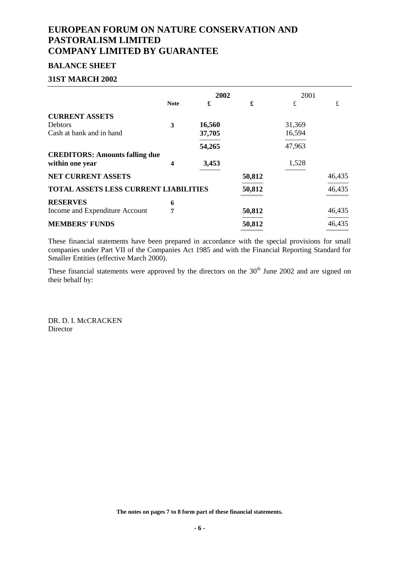### **BALANCE SHEET**

#### **31ST MARCH 2002**

|                                              |             | 2002   |        | 2001   |        |
|----------------------------------------------|-------------|--------|--------|--------|--------|
|                                              | <b>Note</b> | £      | £      | £      | £      |
| <b>CURRENT ASSETS</b>                        |             |        |        |        |        |
| <b>Debtors</b>                               | 3           | 16,560 |        | 31,369 |        |
| Cash at bank and in hand                     |             | 37,705 |        | 16,594 |        |
|                                              |             | 54,265 |        | 47,963 |        |
| <b>CREDITORS: Amounts falling due</b>        |             |        |        |        |        |
| within one year                              | 4           | 3,453  |        | 1,528  |        |
| <b>NET CURRENT ASSETS</b>                    |             |        | 50,812 |        | 46,435 |
| <b>TOTAL ASSETS LESS CURRENT LIABILITIES</b> |             |        | 50,812 |        | 46,435 |
| <b>RESERVES</b>                              | 6           |        |        |        |        |
| Income and Expenditure Account               | 7           |        | 50,812 |        | 46,435 |
| <b>MEMBERS' FUNDS</b>                        |             |        | 50,812 |        | 46,435 |
|                                              |             |        |        |        |        |

These financial statements have been prepared in accordance with the special provisions for small companies under Part VII of the Companies Act 1985 and with the Financial Reporting Standard for Smaller Entities (effective March 2000).

These financial statements were approved by the directors on the  $30<sup>th</sup>$  June 2002 and are signed on their behalf by:

DR. D. I. McCRACKEN Director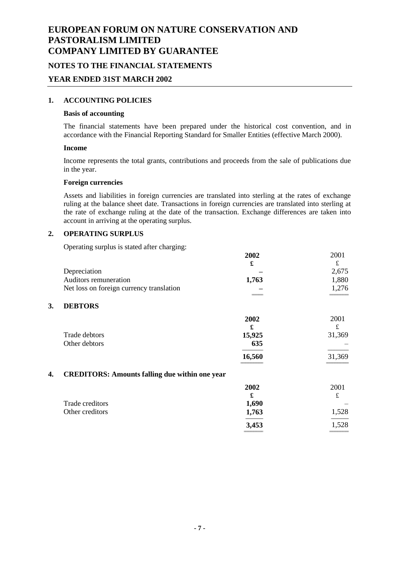### **NOTES TO THE FINANCIAL STATEMENTS**

### **YEAR ENDED 31ST MARCH 2002**

### **1. ACCOUNTING POLICIES**

#### **Basis of accounting**

The financial statements have been prepared under the historical cost convention, and in accordance with the Financial Reporting Standard for Smaller Entities (effective March 2000).

#### **Income**

Income represents the total grants, contributions and proceeds from the sale of publications due in the year.

#### **Foreign currencies**

Assets and liabilities in foreign currencies are translated into sterling at the rates of exchange ruling at the balance sheet date. Transactions in foreign currencies are translated into sterling at the rate of exchange ruling at the date of the transaction. Exchange differences are taken into account in arriving at the operating surplus.

### **2. OPERATING SURPLUS**

Operating surplus is stated after charging:

|    |                                                       | 2002     | 2001       |
|----|-------------------------------------------------------|----------|------------|
|    | Depreciation                                          | £        | £<br>2,675 |
|    | Auditors remuneration                                 | 1,763    | 1,880      |
|    | Net loss on foreign currency translation              |          | 1,276      |
|    |                                                       |          |            |
| 3. | <b>DEBTORS</b>                                        |          |            |
|    |                                                       | 2002     | 2001       |
|    |                                                       | £        | £          |
|    | Trade debtors                                         | 15,925   | 31,369     |
|    | Other debtors                                         | 635      |            |
|    |                                                       | 16,560   | 31,369     |
| 4. | <b>CREDITORS: Amounts falling due within one year</b> |          |            |
|    |                                                       | 2002     | 2001       |
|    |                                                       | £        | £          |
|    | Trade creditors                                       | 1,690    |            |
|    | Other creditors                                       | 1,763    | 1,528      |
|    |                                                       | 3,453    | 1,528      |
|    |                                                       | -------- |            |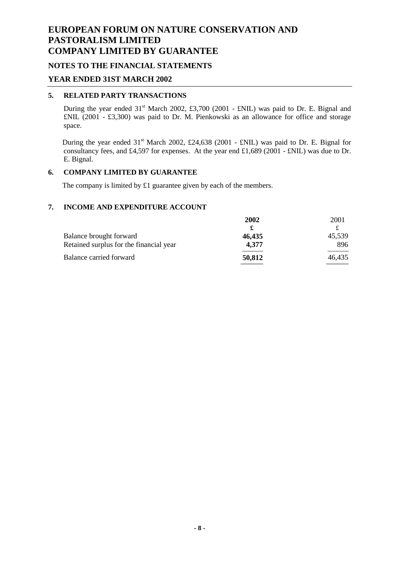### **NOTES TO THE FINANCIAL STATEMENTS**

### **YEAR ENDED 31ST MARCH 2002**

### **5. RELATED PARTY TRANSACTIONS**

During the year ended  $31<sup>st</sup>$  March 2002, £3,700 (2001 - £NIL) was paid to Dr. E. Bignal and £NIL (2001 - £3,300) was paid to Dr. M. Pienkowski as an allowance for office and storage space.

During the year ended  $31<sup>st</sup>$  March 2002, £24,638 (2001 - £NIL) was paid to Dr. E. Bignal for consultancy fees, and £4,597 for expenses. At the year end £1,689 (2001 - £NIL) was due to Dr. E. Bignal.

#### **6. COMPANY LIMITED BY GUARANTEE**

The company is limited by £1 guarantee given by each of the members.

#### **7. INCOME AND EXPENDITURE ACCOUNT**

|                                         | 2002   | 2001   |
|-----------------------------------------|--------|--------|
|                                         |        |        |
| Balance brought forward                 | 46.435 | 45,539 |
| Retained surplus for the financial year | 4.377  | 896    |
| Balance carried forward                 | 50,812 | 46,435 |
|                                         |        |        |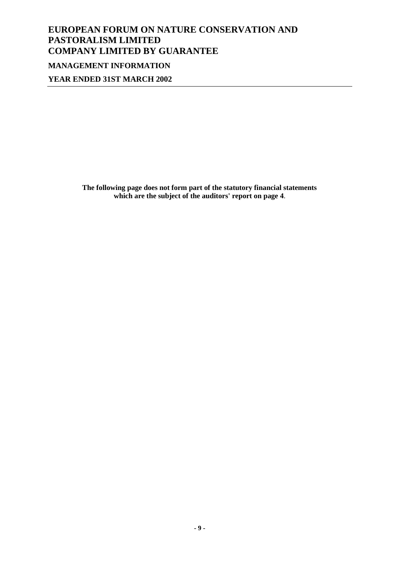# **EUROPEAN FORUM ON NATURE CONSERVATION AND PASTORALISM LIMITED COMPANY LIMITED BY GUARANTEE MANAGEMENT INFORMATION**

**YEAR ENDED 31ST MARCH 2002**

**The following page does not form part of the statutory financial statements which are the subject of the auditors' report on page 4**.